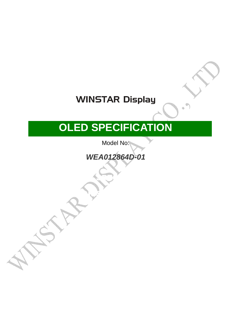## **WINSTAR Display**

# **OLED SPECIFICATION**

Model No:

**WEA012864D-01** 

■APPROVAL FOR SPECIFICATIONS ONLY

□APPROVAL FOR SPECIFICATIONS AND

SAMPLE ( )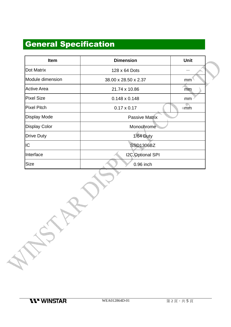### General Specification

| <b>Item</b>          | <b>Dimension</b>      | Unit |  |  |  |
|----------------------|-----------------------|------|--|--|--|
| Dot Matrix           | 128 x 64 Dots         |      |  |  |  |
| Module dimension     | 38.00 x 28.50 x 2.37  | mm   |  |  |  |
| <b>Active Area</b>   | 21.74 x 10.86         | mm   |  |  |  |
| <b>Pixel Size</b>    | $0.148 \times 0.148$  | mm   |  |  |  |
| <b>Pixel Pitch</b>   | $0.17 \times 0.17$    | mm   |  |  |  |
| <b>Display Mode</b>  | <b>Passive Matrix</b> |      |  |  |  |
| <b>Display Color</b> | Monochrome            |      |  |  |  |
| <b>Drive Duty</b>    | <b>1/64 Duty</b>      |      |  |  |  |
| IC                   | <b>SSD1306BZ</b>      |      |  |  |  |
| Interface            | I2C, Optional SPI     |      |  |  |  |
| <b>Size</b>          | 0.96 inch             |      |  |  |  |

**Martin**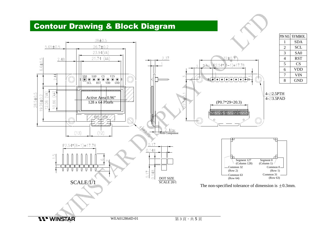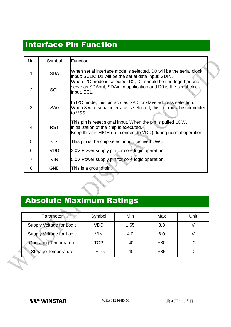#### Interface Pin Function

| No.            | Symbol          | Function                                                                                                                                                                                     |
|----------------|-----------------|----------------------------------------------------------------------------------------------------------------------------------------------------------------------------------------------|
|                | <b>SDA</b>      | When serial interface mode is selected, D0 will be the serial clock<br>input: SCLK; D1 will be the serial data input: SDIN.<br>When I2C mode is selected, D2, D1 should be tied together and |
| 2              | <b>SCL</b>      | serve as SDAout, SDAin in application and D0 is the serial clock<br>input, SCL.                                                                                                              |
| 3              | SA <sub>0</sub> | In I2C mode, this pin acts as SA0 for slave address selection.<br>When 3-wire serial interface is selected, this pin must be connected<br>to VSS.                                            |
| 4              | <b>RST</b>      | This pin is reset signal input. When the pin is pulled LOW,<br>initialization of the chip is executed.<br>Keep this pin HIGH (i.e. connect to VDD) during normal operation.                  |
| 5              | CS              | This pin is the chip select input. (active LOW).                                                                                                                                             |
| 6              | <b>VDD</b>      | 3.0V Power supply pin for core logic operation.                                                                                                                                              |
| $\overline{7}$ | <b>VIN</b>      | 5.0V Power supply pin for core logic operation.                                                                                                                                              |
| 8              | <b>GND</b>      | This is a ground pin.                                                                                                                                                                        |

### Absolute Maximum Ratings

| Parameter                       | Symbol      | Min   | Max   | Unit        |
|---------------------------------|-------------|-------|-------|-------------|
| <b>Supply Voltage for Logic</b> | <b>VDD</b>  | 1.65  | 3.3   |             |
| Supply Voltage for Logic        | <b>VIN</b>  | 4.0   | 6.0   |             |
| <b>Operating Temperature</b>    | <b>TOP</b>  | $-40$ | $+80$ | $^{\circ}C$ |
| <b>Storage Temperature</b>      | <b>TSTG</b> | $-40$ | $+85$ | $^{\circ}C$ |
|                                 |             |       |       |             |